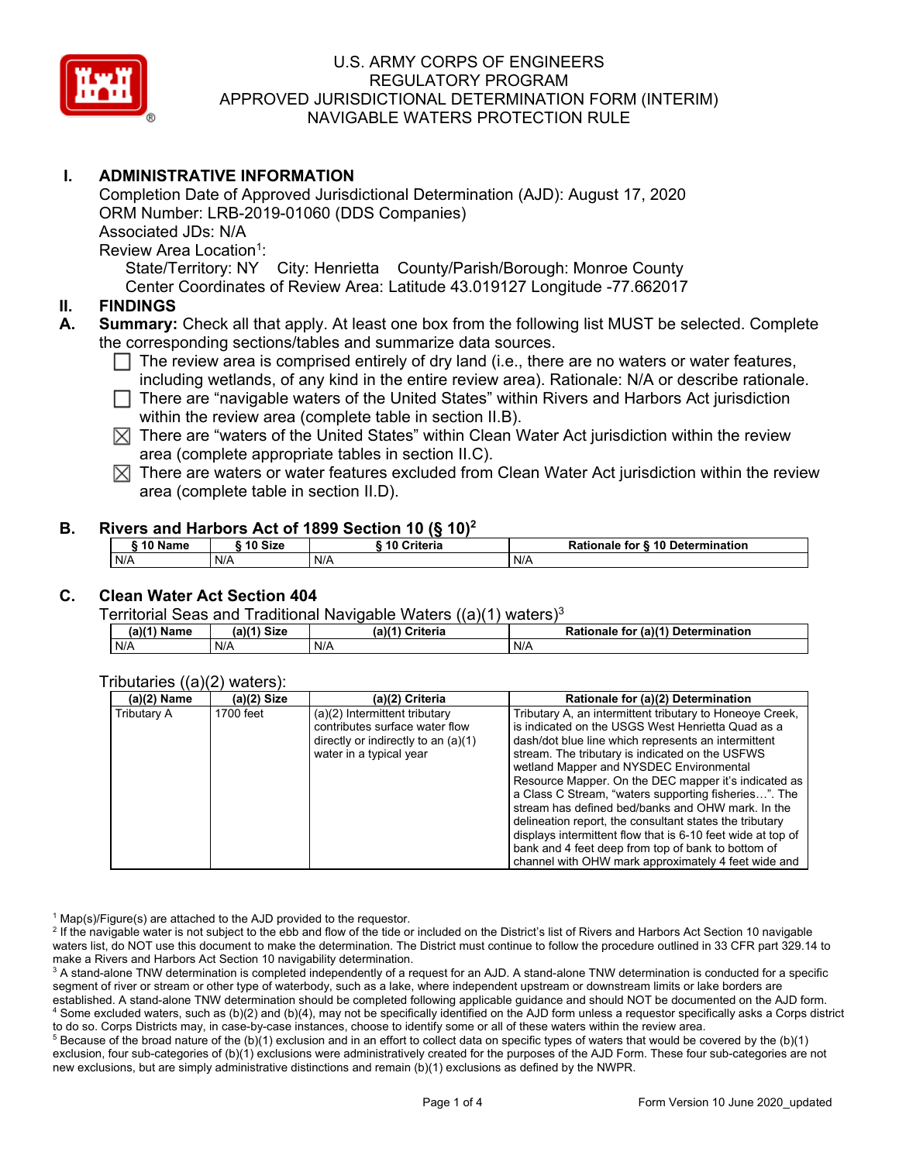

# **I. ADMINISTRATIVE INFORMATION**

Completion Date of Approved Jurisdictional Determination (AJD): August 17, 2020 ORM Number: LRB-2019-01060 (DDS Companies) Associated JDs: N/A Review Area Location<sup>1</sup>:

State/Territory: NY City: Henrietta County/Parish/Borough: Monroe County Center Coordinates of Review Area: Latitude 43.019127 Longitude -77.662017

### **II. FINDINGS**

**A. Summary:** Check all that apply. At least one box from the following list MUST be selected. Complete the corresponding sections/tables and summarize data sources.

- The review area is comprised entirely of dry land (i.e., there are no waters or water features, including wetlands, of any kind in the entire review area). Rationale: N/A or describe rationale.
- There are "navigable waters of the United States" within Rivers and Harbors Act jurisdiction within the review area (complete table in section II.B).
- $\boxtimes$  There are "waters of the United States" within Clean Water Act jurisdiction within the review area (complete appropriate tables in section II.C).
- $\boxtimes$  There are waters or water features excluded from Clean Water Act jurisdiction within the review area (complete table in section II.D).

### **B. Rivers and Harbors Act of 1899 Section 10 (§ 10)<sup>2</sup>**

| 10 Name | <b>Size</b> | Criteria<br>10 | r & 10 Determination<br>Rationale for <b>8</b> |  |  |
|---------|-------------|----------------|------------------------------------------------|--|--|
| N/A     | N/A         | N/F            | N/A                                            |  |  |

### **C. Clean Water Act Section 404**

Territorial Seas and Traditional Navigable Waters ((a)(1) waters)3

| $(a)$ <sup><math>\prime</math></sup><br>Name | (a)(1) Size<br>aw. | (2)(4)<br>Criteria | <b>Dotions</b><br>(a)(1) Determination<br>tor<br>nale |
|----------------------------------------------|--------------------|--------------------|-------------------------------------------------------|
| N/A                                          | N/A                | N/A                | N/A                                                   |

### Tributaries ((a)(2) waters):

| (a)(2) Name | $(a)(2)$ Size | (a)(2) Criteria                       | Rationale for (a)(2) Determination                          |
|-------------|---------------|---------------------------------------|-------------------------------------------------------------|
| Tributary A | 1700 feet     | $(a)(2)$ Intermittent tributary       | Tributary A, an intermittent tributary to Honeoye Creek,    |
|             |               | contributes surface water flow        | is indicated on the USGS West Henrietta Quad as a           |
|             |               | directly or indirectly to an $(a)(1)$ | dash/dot blue line which represents an intermittent         |
|             |               | water in a typical year               | stream. The tributary is indicated on the USFWS             |
|             |               |                                       | wetland Mapper and NYSDEC Environmental                     |
|             |               |                                       | Resource Mapper. On the DEC mapper it's indicated as        |
|             |               |                                       | a Class C Stream, "waters supporting fisheries". The        |
|             |               |                                       | stream has defined bed/banks and OHW mark. In the           |
|             |               |                                       | delineation report, the consultant states the tributary     |
|             |               |                                       | displays intermittent flow that is 6-10 feet wide at top of |
|             |               |                                       | bank and 4 feet deep from top of bank to bottom of          |
|             |               |                                       | channel with OHW mark approximately 4 feet wide and         |

 $1$  Map(s)/Figure(s) are attached to the AJD provided to the requestor.

<sup>2</sup> If the navigable water is not subject to the ebb and flow of the tide or included on the District's list of Rivers and Harbors Act Section 10 navigable waters list, do NOT use this document to make the determination. The District must continue to follow the procedure outlined in 33 CFR part 329.14 to make a Rivers and Harbors Act Section 10 navigability determination.

<sup>3</sup> A stand-alone TNW determination is completed independently of a request for an AJD. A stand-alone TNW determination is conducted for a specific segment of river or stream or other type of waterbody, such as a lake, where independent upstream or downstream limits or lake borders are established. A stand-alone TNW determination should be completed following applicable guidance and should NOT be documented on the AJD form. <sup>4</sup> Some excluded waters, such as (b)(2) and (b)(4), may not be specifically identified on the AJD form unless a requestor specifically asks a Corps district to do so. Corps Districts may, in case-by-case instances, choose to identify some or all of these waters within the review area.

 $5$  Because of the broad nature of the (b)(1) exclusion and in an effort to collect data on specific types of waters that would be covered by the (b)(1) exclusion, four sub-categories of (b)(1) exclusions were administratively created for the purposes of the AJD Form. These four sub-categories are not new exclusions, but are simply administrative distinctions and remain (b)(1) exclusions as defined by the NWPR.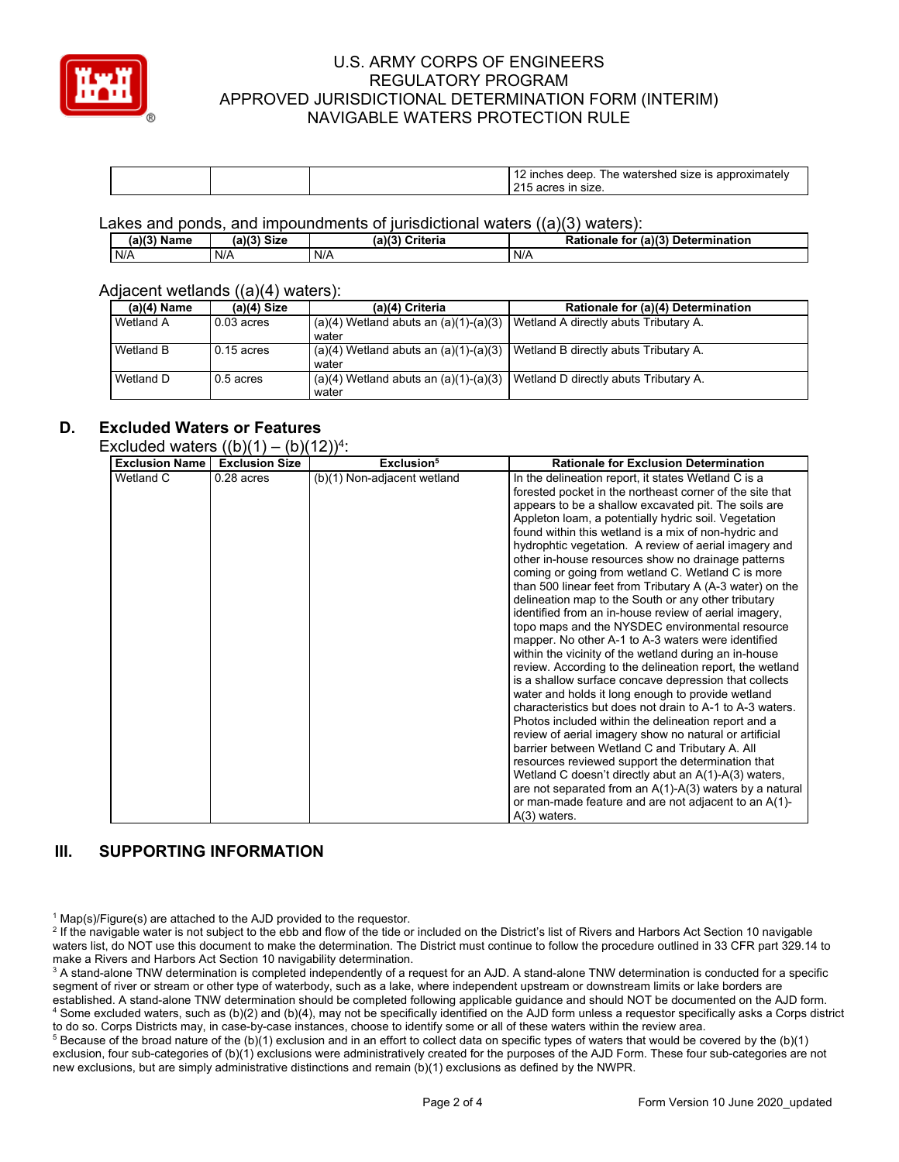

|  | $$ ntorobo $\cdot$<br>he<br>leer<br>vaie<br>size :<br>mones<br>snec<br>JXII<br>1011<br>⊷<br>' ∍i∠⊾ |
|--|----------------------------------------------------------------------------------------------------|
|--|----------------------------------------------------------------------------------------------------|

Lakes and ponds, and impoundments of jurisdictional waters ((a)(3) waters):

| $(a)(3)$ Name | (a)(?')<br><b>Size</b> | (a)(3)<br>Criteria | (a)(3)<br><b>Rationale</b><br><b>Determination</b><br>, tor |
|---------------|------------------------|--------------------|-------------------------------------------------------------|
| N/A           | N/A                    | N/A                | N/A                                                         |

#### Adjacent wetlands ((a)(4) waters):

| $(a)(4)$ Name | $(a)(4)$ Size | (a)(4) Criteria                                    | Rationale for (a)(4) Determination    |
|---------------|---------------|----------------------------------------------------|---------------------------------------|
| Wetland A     | $0.03$ acres  | $(a)(4)$ Wetland abuts an $(a)(1)-(a)(3)$<br>water | Wetland A directly abuts Tributary A. |
| Wetland B     | $0.15$ acres  | $(a)(4)$ Wetland abuts an $(a)(1)-(a)(3)$<br>water | Wetland B directly abuts Tributary A. |
| Wetland D     | $0.5$ acres   | $(a)(4)$ Wetland abuts an $(a)(1)-(a)(3)$<br>water | Wetland D directly abuts Tributary A. |

## **D. Excluded Waters or Features**

## Excluded waters  $((b)(1) - (b)(12))^{4}$

| <b>Exclusion Name</b>         | <b>Exclusion Size</b> | Exclusion <sup>5</sup>                        | <b>Rationale for Exclusion Determination</b>                                                                                                                                                                                                                                                                                                                                                                                                                                                                                                                                                                                                                                                                                                     |
|-------------------------------|-----------------------|-----------------------------------------------|--------------------------------------------------------------------------------------------------------------------------------------------------------------------------------------------------------------------------------------------------------------------------------------------------------------------------------------------------------------------------------------------------------------------------------------------------------------------------------------------------------------------------------------------------------------------------------------------------------------------------------------------------------------------------------------------------------------------------------------------------|
| ן ון עון טושוטא.<br>Wetland C | $0.28$ acres          | $(\nu)(\nu)$ .<br>(b)(1) Non-adjacent wetland | In the delineation report, it states Wetland C is a<br>forested pocket in the northeast corner of the site that<br>appears to be a shallow excavated pit. The soils are<br>Appleton loam, a potentially hydric soil. Vegetation<br>found within this wetland is a mix of non-hydric and<br>hydrophtic vegetation. A review of aerial imagery and<br>other in-house resources show no drainage patterns<br>coming or going from wetland C. Wetland C is more<br>than 500 linear feet from Tributary A (A-3 water) on the<br>delineation map to the South or any other tributary<br>identified from an in-house review of aerial imagery,<br>topo maps and the NYSDEC environmental resource<br>mapper. No other A-1 to A-3 waters were identified |
|                               |                       |                                               | within the vicinity of the wetland during an in-house<br>review. According to the delineation report, the wetland<br>is a shallow surface concave depression that collects<br>water and holds it long enough to provide wetland<br>characteristics but does not drain to A-1 to A-3 waters.                                                                                                                                                                                                                                                                                                                                                                                                                                                      |
|                               |                       |                                               | Photos included within the delineation report and a<br>review of aerial imagery show no natural or artificial<br>barrier between Wetland C and Tributary A. All<br>resources reviewed support the determination that                                                                                                                                                                                                                                                                                                                                                                                                                                                                                                                             |
|                               |                       |                                               | Wetland C doesn't directly abut an A(1)-A(3) waters,<br>are not separated from an $A(1)-A(3)$ waters by a natural<br>or man-made feature and are not adjacent to an A(1)-<br>$A(3)$ waters.                                                                                                                                                                                                                                                                                                                                                                                                                                                                                                                                                      |

### **III. SUPPORTING INFORMATION**

 $1$  Map(s)/Figure(s) are attached to the AJD provided to the requestor.

<sup>2</sup> If the navigable water is not subject to the ebb and flow of the tide or included on the District's list of Rivers and Harbors Act Section 10 navigable waters list, do NOT use this document to make the determination. The District must continue to follow the procedure outlined in 33 CFR part 329.14 to make a Rivers and Harbors Act Section 10 navigability determination.

<sup>3</sup> A stand-alone TNW determination is completed independently of a request for an AJD. A stand-alone TNW determination is conducted for a specific segment of river or stream or other type of waterbody, such as a lake, where independent upstream or downstream limits or lake borders are established. A stand-alone TNW determination should be completed following applicable guidance and should NOT be documented on the AJD form. <sup>4</sup> Some excluded waters, such as (b)(2) and (b)(4), may not be specifically identified on the AJD form unless a requestor specifically asks a Corps district to do so. Corps Districts may, in case-by-case instances, choose to identify some or all of these waters within the review area.

 $5$  Because of the broad nature of the (b)(1) exclusion and in an effort to collect data on specific types of waters that would be covered by the (b)(1) exclusion, four sub-categories of (b)(1) exclusions were administratively created for the purposes of the AJD Form. These four sub-categories are not new exclusions, but are simply administrative distinctions and remain (b)(1) exclusions as defined by the NWPR.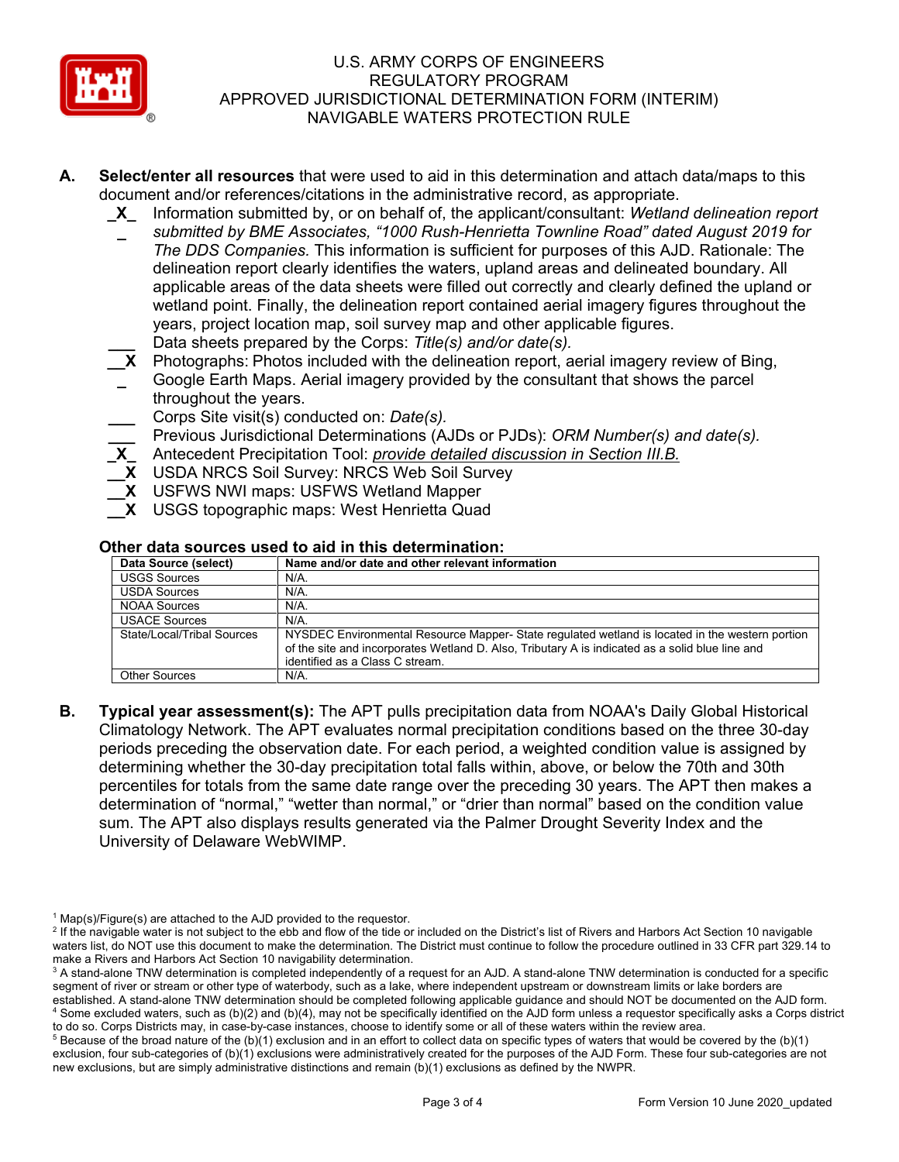

- **A. Select/enter all resources** that were used to aid in this determination and attach data/maps to this document and/or references/citations in the administrative record, as appropriate.
	- **\_X\_** Information submitted by, or on behalf of, the applicant/consultant: *Wetland delineation report*
	- **\_** *submitted by BME Associates, "1000 Rush-Henrietta Townline Road" dated August 2019 for The DDS Companies.* This information is sufficient for purposes of this AJD. Rationale: The delineation report clearly identifies the waters, upland areas and delineated boundary. All applicable areas of the data sheets were filled out correctly and clearly defined the upland or wetland point. Finally, the delineation report contained aerial imagery figures throughout the years, project location map, soil survey map and other applicable figures.
	- **\_\_\_** Data sheets prepared by the Corps: *Title(s) and/or date(s).*
	- **\_\_X** Photographs: Photos included with the delineation report, aerial imagery review of Bing,
	- **\_** Google Earth Maps. Aerial imagery provided by the consultant that shows the parcel throughout the years.
	- **\_\_\_** Corps Site visit(s) conducted on: *Date(s).*
	- **\_\_\_** Previous Jurisdictional Determinations (AJDs or PJDs): *ORM Number(s) and date(s).*
	- **\_X\_** Antecedent Precipitation Tool: *provide detailed discussion in Section III.B.*
	- **\_\_X** USDA NRCS Soil Survey: NRCS Web Soil Survey
	- **\_\_X** USFWS NWI maps: USFWS Wetland Mapper
	- **\_\_X** USGS topographic maps: West Henrietta Quad

### **Other data sources used to aid in this determination:**

| Data Source (select)       | Name and/or date and other relevant information                                                                                                                                                                                      |
|----------------------------|--------------------------------------------------------------------------------------------------------------------------------------------------------------------------------------------------------------------------------------|
| <b>USGS Sources</b>        | $N/A$ .                                                                                                                                                                                                                              |
| <b>USDA Sources</b>        | $N/A$ .                                                                                                                                                                                                                              |
| NOAA Sources               | N/A.                                                                                                                                                                                                                                 |
| <b>USACE Sources</b>       | N/A                                                                                                                                                                                                                                  |
| State/Local/Tribal Sources | NYSDEC Environmental Resource Mapper-State regulated wetland is located in the western portion<br>of the site and incorporates Wetland D. Also, Tributary A is indicated as a solid blue line and<br>identified as a Class C stream. |
| <b>Other Sources</b>       | N/A.                                                                                                                                                                                                                                 |

**B. Typical year assessment(s):** The APT pulls precipitation data from NOAA's Daily Global Historical Climatology Network. The APT evaluates normal precipitation conditions based on the three 30-day periods preceding the observation date. For each period, a weighted condition value is assigned by determining whether the 30-day precipitation total falls within, above, or below the 70th and 30th percentiles for totals from the same date range over the preceding 30 years. The APT then makes a determination of "normal," "wetter than normal," or "drier than normal" based on the condition value sum. The APT also displays results generated via the Palmer Drought Severity Index and the University of Delaware WebWIMP.

 $1$  Map(s)/Figure(s) are attached to the AJD provided to the requestor.

<sup>&</sup>lt;sup>2</sup> If the navigable water is not subject to the ebb and flow of the tide or included on the District's list of Rivers and Harbors Act Section 10 navigable waters list, do NOT use this document to make the determination. The District must continue to follow the procedure outlined in 33 CFR part 329.14 to make a Rivers and Harbors Act Section 10 navigability determination.

<sup>&</sup>lt;sup>3</sup> A stand-alone TNW determination is completed independently of a request for an AJD. A stand-alone TNW determination is conducted for a specific segment of river or stream or other type of waterbody, such as a lake, where independent upstream or downstream limits or lake borders are established. A stand-alone TNW determination should be completed following applicable guidance and should NOT be documented on the AJD form. <sup>4</sup> Some excluded waters, such as (b)(2) and (b)(4), may not be specifically identified on the AJD form unless a requestor specifically asks a Corps district to do so. Corps Districts may, in case-by-case instances, choose to identify some or all of these waters within the review area.

 $5$  Because of the broad nature of the (b)(1) exclusion and in an effort to collect data on specific types of waters that would be covered by the (b)(1) exclusion, four sub-categories of (b)(1) exclusions were administratively created for the purposes of the AJD Form. These four sub-categories are not new exclusions, but are simply administrative distinctions and remain (b)(1) exclusions as defined by the NWPR.